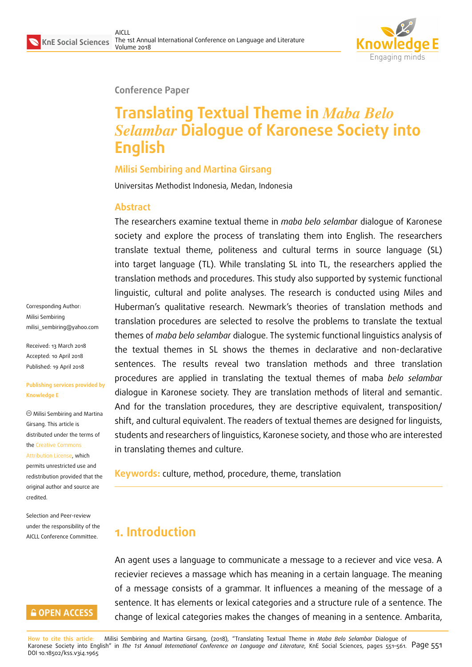

#### **Conference Paper**

# **Translating Textual Theme in** *Maba Belo Selambar* **Dialogue of Karonese Society into English**

#### **Milisi Sembiring and Martina Girsang**

Universitas Methodist Indonesia, Medan, Indonesia

#### **Abstract**

The researchers examine textual theme in *maba belo selambar* dialogue of Karonese society and explore the process of translating them into English. The researchers translate textual theme, politeness and cultural terms in source language (SL) into target language (TL). While translating SL into TL, the researchers applied the translation methods and procedures. This study also supported by systemic functional linguistic, cultural and polite analyses. The research is conducted using Miles and Huberman's qualitative research. Newmark's theories of translation methods and translation procedures are selected to resolve the problems to translate the textual themes of *maba belo selambar* dialogue. The systemic functional linguistics analysis of the textual themes in SL shows the themes in declarative and non-declarative sentences. The results reveal two translation methods and three translation procedures are applied in translating the textual themes of maba *belo selambar* dialogue in Karonese society. They are translation methods of literal and semantic. And for the translation procedures, they are descriptive equivalent, transposition/ shift, and cultural equivalent. The readers of textual themes are designed for linguists, students and researchers of linguistics, Karonese society, and those who are interested in translating themes and culture.

**Keywords:** culture, method, procedure, theme, translation

# **1. Introduction**

An agent uses a language to communicate a message to a reciever and vice vesa. A recievier recieves a massage which has meaning in a certain language. The meaning of a message consists of a grammar. It influences a meaning of the message of a sentence. It has elements or lexical categories and a structure rule of a sentence. The change of lexical categories makes the changes of meaning in a sentence. Ambarita,

**How to cite this article**: Milisi Sembiring and Martina Girsang, (2018), "Translating Textual Theme in *Maba Belo Selambar* Dialogue of Karonese Society into English" in *The 1st Annual International Conference on Language and Literature*, KnE Social Sciences, pages 551–561. Page 551 DOI 10.18502/kss.v3i4.1965

Corresponding Author: Milisi Sembiring milisi\_sembiring@yahoo.com

Received: 13 March 2018 Accepted: 10 April 2018 [Published: 19 April 2018](mailto:milisi_sembiring@yahoo.com)

#### **Publishing services provided by Knowledge E**

Milisi Sembiring and Martina Girsang. This article is distributed under the terms of the Creative Commons Attribution License, which permits unrestricted use and redistribution provided that the ori[ginal author and sou](https://creativecommons.org/licenses/by/4.0/)rce are [credited.](https://creativecommons.org/licenses/by/4.0/)

Selection and Peer-review under the responsibility of the AICLL Conference Committee.

#### **GOPEN ACCESS**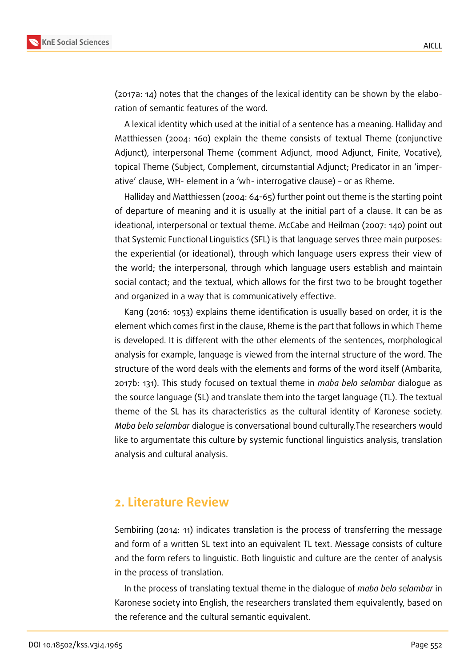

(2017a: 14) notes that the changes of the lexical identity can be shown by the elaboration of semantic features of the word.

A lexical identity which used at the initial of a sentence has a meaning. Halliday and Matthiessen (2004: 160) explain the theme consists of textual Theme (conjunctive Adjunct), interpersonal Theme (comment Adjunct, mood Adjunct, Finite, Vocative), topical Theme (Subject, Complement, circumstantial Adjunct; Predicator in an 'imperative' clause, WH- element in a 'wh- interrogative clause) – or as Rheme.

Halliday and Matthiessen (2004: 64-65) further point out theme is the starting point of departure of meaning and it is usually at the initial part of a clause. It can be as ideational, interpersonal or textual theme. McCabe and Heilman (2007: 140) point out that Systemic Functional Linguistics (SFL) is that language serves three main purposes: the experiential (or ideational), through which language users express their view of the world; the interpersonal, through which language users establish and maintain social contact; and the textual, which allows for the first two to be brought together and organized in a way that is communicatively effective.

Kang (2016: 1053) explains theme identification is usually based on order, it is the element which comes first in the clause, Rheme is the part that follows in which Theme is developed. It is different with the other elements of the sentences, morphological analysis for example, language is viewed from the internal structure of the word. The structure of the word deals with the elements and forms of the word itself (Ambarita, 2017b: 131). This study focused on textual theme in *maba belo selambar* dialogue as the source language (SL) and translate them into the target language (TL). The textual theme of the SL has its characteristics as the cultural identity of Karonese society. *Maba belo selambar* dialogue is conversational bound culturally.The researchers would like to argumentate this culture by systemic functional linguistics analysis, translation analysis and cultural analysis.

## **2. Literature Review**

Sembiring (2014: 11) indicates translation is the process of transferring the message and form of a written SL text into an equivalent TL text. Message consists of culture and the form refers to linguistic. Both linguistic and culture are the center of analysis in the process of translation.

In the process of translating textual theme in the dialogue of *maba belo selambar* in Karonese society into English, the researchers translated them equivalently, based on the reference and the cultural semantic equivalent.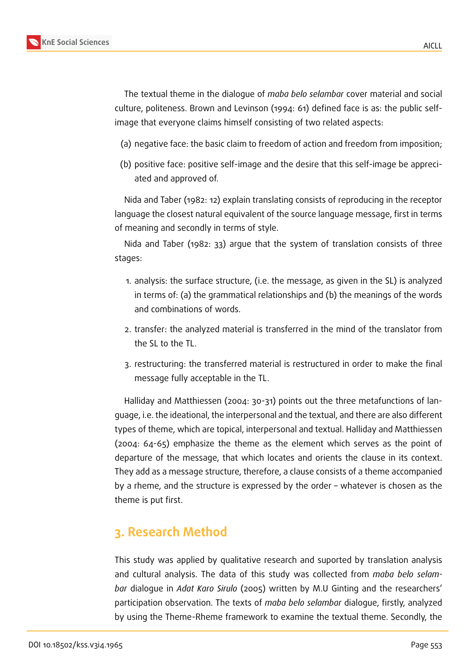The textual theme in the dialogue of *maba belo selambar* cover material and social culture, politeness. Brown and Levinson (1994: 61) defined face is as: the public selfimage that everyone claims himself consisting of two related aspects:

- (a) negative face: the basic claim to freedom of action and freedom from imposition;
- (b) positive face: positive self-image and the desire that this self-image be appreciated and approved of.

Nida and Taber (1982: 12) explain translating consists of reproducing in the receptor language the closest natural equivalent of the source language message, first in terms of meaning and secondly in terms of style.

Nida and Taber (1982: 33) argue that the system of translation consists of three stages:

- 1. analysis: the surface structure, (i.e. the message, as given in the SL) is analyzed in terms of: (a) the grammatical relationships and (b) the meanings of the words and combinations of words.
- 2. transfer: the analyzed material is transferred in the mind of the translator from the SL to the TL.
- 3. restructuring: the transferred material is restructured in order to make the final message fully acceptable in the TL.

Halliday and Matthiessen (2004: 30-31) points out the three metafunctions of language, i.e. the ideational, the interpersonal and the textual, and there are also different types of theme, which are topical, interpersonal and textual. Halliday and Matthiessen (2004: 64-65) emphasize the theme as the element which serves as the point of departure of the message, that which locates and orients the clause in its context. They add as a message structure, therefore, a clause consists of a theme accompanied by a rheme, and the structure is expressed by the order – whatever is chosen as the theme is put first.

# **3. Research Method**

This study was applied by qualitative research and suported by translation analysis and cultural analysis. The data of this study was collected from *maba belo selambar* dialogue in *Adat Karo Sirulo* (2005) written by M.U Ginting and the researchers' participation observation. The texts of *maba belo selambar* dialogue, firstly, analyzed by using the Theme-Rheme framework to examine the textual theme. Secondly, the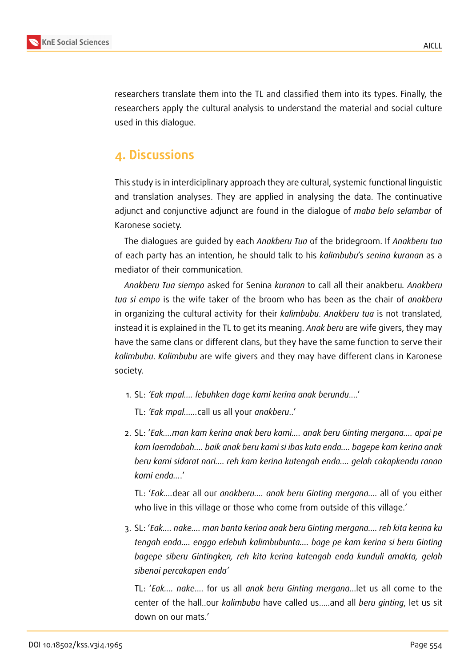

researchers translate them into the TL and classified them into its types. Finally, the researchers apply the cultural analysis to understand the material and social culture used in this dialogue.

# **4. Discussions**

This study is in interdiciplinary approach they are cultural, systemic functional linguistic and translation analyses. They are applied in analysing the data. The continuative adjunct and conjunctive adjunct are found in the dialogue of *maba belo selambar* of Karonese society.

The dialogues are guided by each *Anakberu Tua* of the bridegroom. If *Anakberu tua* of each party has an intention, he should talk to his *kalimbubu*'s *senina kuranan* as a mediator of their communication.

*Anakberu Tua siempo* asked for Senina *kuranan* to call all their anakberu*. Anakberu tua si empo* is the wife taker of the broom who has been as the chair of *anakberu* in organizing the cultural activity for their *kalimbubu*. *Anakberu tua* is not translated, instead it is explained in the TL to get its meaning. *Anak beru* are wife givers, they may have the same clans or different clans, but they have the same function to serve their *kalimbubu*. *Kalimbubu* are wife givers and they may have different clans in Karonese society.

- 1. SL: *'Eak mpal.... lebuhken dage kami kerina anak berundu*....'
	- TL: *'Eak mpal......*call us all your *anakberu*..'
- 2. SL: '*Eak....man kam kerina anak beru kami.... anak beru Ginting mergana.... apai pe kam laerndobah.... baik anak beru kami si ibas kuta enda.... bagepe kam kerina anak beru kami sidarat nari.... reh kam kerina kutengah enda.... gelah cakapkendu ranan kami enda...*.'

TL: '*Eak....*dear all our *anakberu.... anak beru Ginting mergana....* all of you either who live in this village or those who come from outside of this village.'

3. SL: '*Eak.... nake.... man banta kerina anak beru Ginting mergana.... reh kita kerina ku tengah enda.... enggo erlebuh kalimbubunta.... bage pe kam kerina si beru Ginting bagepe siberu Gintingken, reh kita kerina kutengah enda kunduli amakta, gelah sibenai percakapen enda'*

TL: '*Eak.... nake*.... for us all *anak beru Ginting mergana*...let us all come to the center of the hall..our *kalimbubu* have called us.....and all *beru ginting*, let us sit down on our mats.'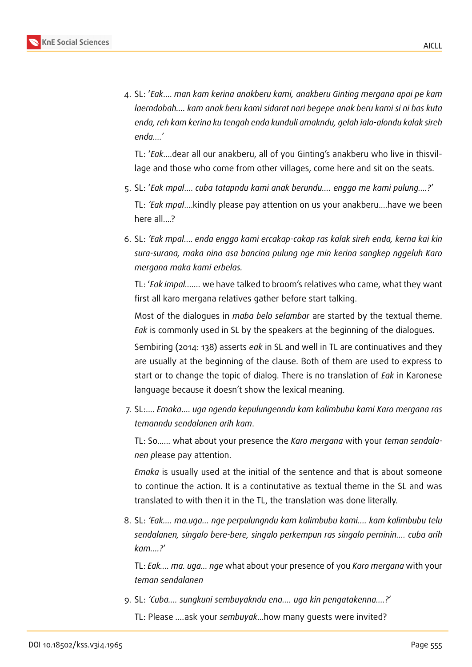

4. SL: '*Eak*.... *man kam kerina anakberu kami, anakberu Ginting mergana apai pe kam laerndobah.... kam anak beru kami sidarat nari begepe anak beru kami si ni bas kuta enda, reh kam kerina ku tengah enda kunduli amakndu, gelah ialo-alondu kalak sireh enda....*'

TL: '*Eak*....dear all our anakberu, all of you Ginting's anakberu who live in thisvillage and those who come from other villages, come here and sit on the seats.

- 5. SL: '*Eak mpal*.... *cuba tatapndu kami anak berundu.... enggo me kami pulung....?*' TL: *'Eak mpal*....kindly please pay attention on us your anakberu....have we been here all....?
- 6. SL: *'Eak mpal*.... *enda enggo kami ercakap-cakap ras kalak sireh enda, kerna kai kin sura-surana, maka nina asa bancina pulung nge min kerina sangkep nggeluh Karo mergana maka kami erbelas.*

TL: '*Eak impal.......* we have talked to broom's relatives who came, what they want first all karo mergana relatives gather before start talking.

Most of the dialogues in *maba belo selambar* are started by the textual theme. *Eak* is commonly used in SL by the speakers at the beginning of the dialogues.

Sembiring (2014: 138) asserts *eak* in SL and well in TL are continuatives and they are usually at the beginning of the clause. Both of them are used to express to start or to change the topic of dialog. There is no translation of *Eak* in Karonese language because it doesn't show the lexical meaning.

7. SL:.... *Emaka*.... *uga ngenda kepulungenndu kam kalimbubu kami Karo mergana ras temanndu sendalanen arih kam*.

TL: So...... what about your presence the *Karo mergana* with your *teman sendalanen p*lease pay attention.

*Emaka* is usually used at the initial of the sentence and that is about someone to continue the action. It is a continutative as textual theme in the SL and was translated to with then it in the TL, the translation was done literally.

8. SL: *'Eak.... ma.uga... nge perpulungndu kam kalimbubu kami.... kam kalimbubu telu sendalanen, singalo bere-bere, singalo perkempun ras singalo perninin.... cuba arih kam....?*'

TL: *Eak.... ma. uga... nge* what about your presence of you *Karo mergana* with your *teman sendalanen*

9. SL: *'Cuba.... sungkuni sembuyakndu ena.... uga kin pengatakenna....?*'

TL: Please *....*ask your *sembuyak*...how many guests were invited?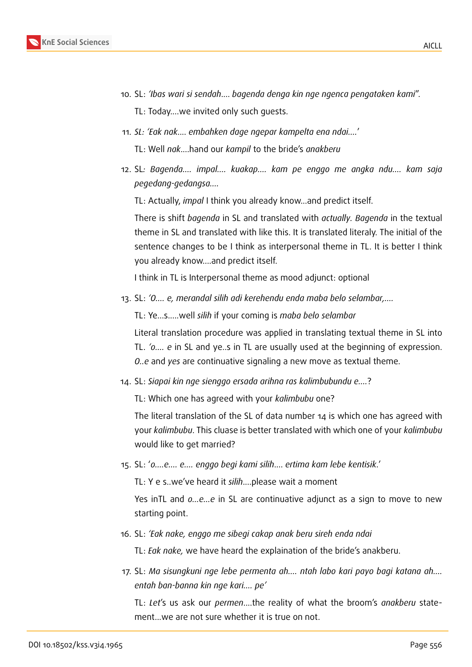

- 10. SL: *'Ibas wari si sendah*.... *bagenda denga kin nge ngenca pengataken kami*".
	- TL: Today....we invited only such guests.
- 11. *SL: 'Eak nak*.... *embahken dage ngepar kampelta ena ndai....*'
	- TL: Well *nak*....hand our *kampil* to the bride's *anakberu*
- 12. SL*: Bagenda.... impal.... kuakap.... kam pe enggo me angka ndu.... kam saja pegedang-gedangsa....*
	- TL: Actually, *impal* I think you already know...and predict itself.

There is shift *bagenda* in SL and translated with *actually. Bagenda* in the textual theme in SL and translated with like this. It is translated literaly. The initial of the sentence changes to be I think as interpersonal theme in TL. It is better I think you already know....and predict itself.

I think in TL is Interpersonal theme as mood adjunct: optional

13. SL: *'O.... e, merandal silih adi kerehendu enda maba belo selambar,....*

TL: Ye...s.....well *silih* if your coming is *maba belo selambar*

Literal translation procedure was applied in translating textual theme in SL into TL. *'o.... e* in SL and ye..s in TL are usually used at the beginning of expression. *O..e* and *yes* are continuative signaling a new move as textual theme.

14. SL: *Siapai kin nge sienggo ersada arihna ras kalimbubundu e....*?

TL: Which one has agreed with your *kalimbubu* one?

The literal translation of the SL of data number 14 is which one has agreed with your *kalimbubu*. This cluase is better translated with which one of your *kalimbubu* would like to get married?

15. SL: '*o....e.... e.... enggo begi kami silih*.... *ertima kam lebe kentisik*.'

TL: Y e s..we've heard it *silih*....please wait a moment

Yes inTL and *o...e...e* in SL are continuative adjunct as a sign to move to new starting point.

16. SL: *'Eak nake, enggo me sibegi cakap anak beru sireh enda ndai*

TL: *Eak nake,* we have heard the explaination of the bride's anakberu.

17. SL: *Ma sisungkuni nge lebe permenta ah.... ntah labo kari payo bagi katana ah.... entah ban-banna kin nge kari.... pe'*

TL: *Let*'s us ask our *permen*....the reality of what the broom's *anakberu* statement...we are not sure whether it is true on not.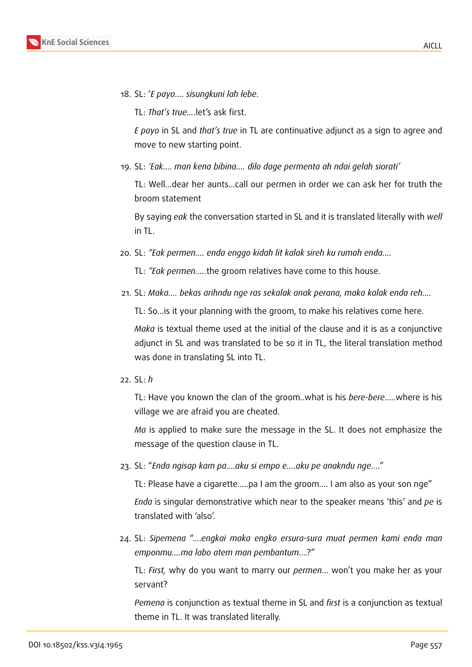18. SL: '*E payo.... sisungkuni lah lebe*.

TL: *That's true...*.let's ask first.

*E payo* in SL and *that's true* in TL are continuative adjunct as a sign to agree and move to new starting point.

19. SL: *'Eak.... man kena bibina.... dilo dage permenta ah ndai gelah siorati'*

TL: Well...dear her aunts...call our permen in order we can ask her for truth the broom statement

By saying *eak* the conversation started in SL and it is translated literally with *well* in TL.

20. SL: *"Eak permen.... enda enggo kidah lit kalak sireh ku rumah enda....*

TL: *"Eak permen.....*the groom relatives have come to this house.

21. SL: *Maka.... bekas arihndu nge ras sekalak anak perana, maka kalak enda reh....*

TL: So...is it your planning with the groom, to make his relatives come here.

*Maka* is textual theme used at the initial of the clause and it is as a conjunctive adjunct in SL and was translated to be so it in TL, the literal translation method was done in translating SL into TL.

22. SL: *h*

TL: Have you known the clan of the groom..what is his *bere-bere*.....where is his village we are afraid you are cheated.

*Ma* is applied to make sure the message in the SL. It does not emphasize the message of the question clause in TL.

23. SL: "*Enda ngisap kam pa*....*aku si empo e....aku pe anakndu nge*...."

TL: Please have a cigarette.....pa I am the groom.... I am also as your son nge"

*Enda* is singular demonstrative which near to the speaker means 'this' and *pe* is translated with 'also'.

24. SL: *Sipemena* "....*engkai maka engko ersura-sura muat permen kami enda man emponmu....ma labo atem man pembantum*....?"

TL: *First,* why do you want to marry our *permen*... won't you make her as your servant?

*Pemena* is conjunction as textual theme in SL and *first* is a conjunction as textual theme in TL. It was translated literally.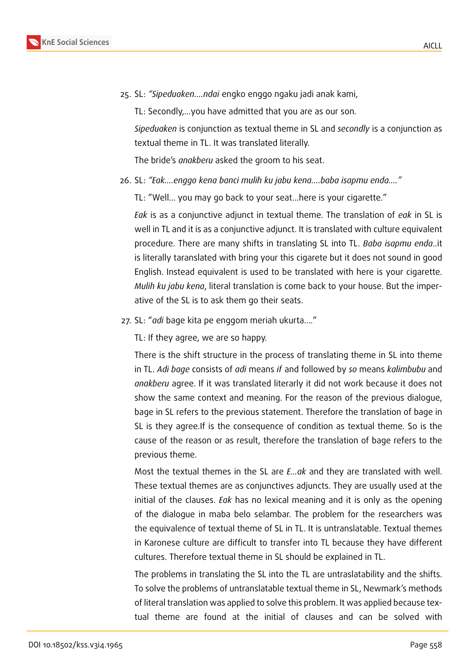

25. SL: *"Sipeduaken....ndai* engko enggo ngaku jadi anak kami,

TL: Secondly,...you have admitted that you are as our son.

*Sipeduaken* is conjunction as textual theme in SL and *secondly* is a conjunction as textual theme in TL. It was translated literally.

The bride's *anakberu* asked the groom to his seat.

26. SL: *"Eak....enggo kena banci mulih ku jabu kena....baba isapmu enda...."*

TL: "Well... you may go back to your seat...here is your cigarette."

*Eak* is as a conjunctive adjunct in textual theme. The translation of *eak* in SL is well in TL and it is as a conjunctive adjunct. It is translated with culture equivalent procedure. There are many shifts in translating SL into TL. *Baba isapmu enda*..it is literally taranslated with bring your this cigarete but it does not sound in good English. Instead equivalent is used to be translated with here is your cigarette. *Mulih ku jabu kena*, literal translation is come back to your house. But the imperative of the SL is to ask them go their seats.

27. SL: "*adi* bage kita pe enggom meriah ukurta...."

TL: If they agree, we are so happy.

There is the shift structure in the process of translating theme in SL into theme in TL. *Adi bage* consists of *adi* means *if* and followed by *so* means *kalimbubu* and *anakberu* agree. If it was translated literarly it did not work because it does not show the same context and meaning. For the reason of the previous dialogue, bage in SL refers to the previous statement. Therefore the translation of bage in SL is they agree.If is the consequence of condition as textual theme. So is the cause of the reason or as result, therefore the translation of bage refers to the previous theme.

Most the textual themes in the SL are *E…ak* and they are translated with well. These textual themes are as conjunctives adjuncts. They are usually used at the initial of the clauses. *Eak* has no lexical meaning and it is only as the opening of the dialogue in maba belo selambar. The problem for the researchers was the equivalence of textual theme of SL in TL. It is untranslatable. Textual themes in Karonese culture are difficult to transfer into TL because they have different cultures. Therefore textual theme in SL should be explained in TL.

The problems in translating the SL into the TL are untraslatability and the shifts. To solve the problems of untranslatable textual theme in SL, Newmark's methods of literal translation was applied to solve this problem. It was applied because textual theme are found at the initial of clauses and can be solved with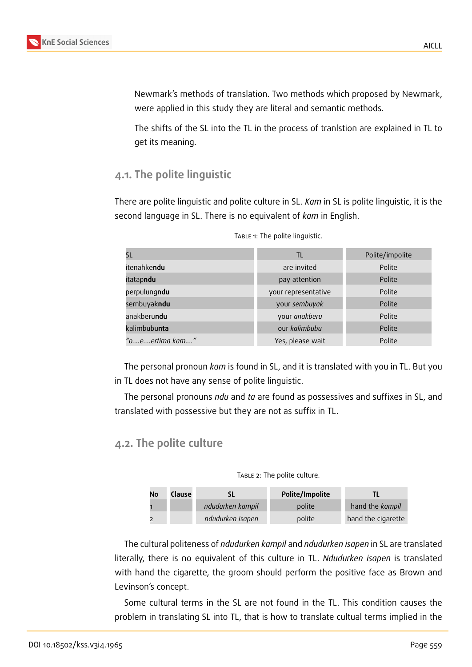

Newmark's methods of translation. Two methods which proposed by Newmark, were applied in this study they are literal and semantic methods.

The shifts of the SL into the TL in the process of tranlstion are explained in TL to get its meaning.

### **4.1. The polite linguistic**

There are polite linguistic and polite culture in SL. *Kam* in SL is polite linguistic, it is the second language in SL. There is no equivalent of *kam* in English.

|                     | TL                  | Polite/impolite |
|---------------------|---------------------|-----------------|
| itenahke <b>ndu</b> | are invited         | Polite          |
| itatapndu           | pay attention       | Polite          |
| perpulungndu        | your representative | Polite          |
| sembuyakndu         | your sembuyak       | Polite          |
| anakberu <b>ndu</b> | your anakberu       | Polite          |
| kalimbubunta        | our kalimbubu       | Polite          |
| "oeertima kam"      | Yes, please wait    | Polite          |

TABLE 1: The polite linguistic.

The personal pronoun *kam* is found in SL, and it is translated with you in TL. But you in TL does not have any sense of polite linguistic.

The personal pronouns *ndu* and *ta* are found as possessives and suffixes in SL, and translated with possessive but they are not as suffix in TL.

#### **4.2. The polite culture**

TABLE 2: The polite culture.

| No | Clause |                  | Polite/Impolite |                    |
|----|--------|------------------|-----------------|--------------------|
|    |        | ndudurken kampil | polite          | hand the kampil    |
|    |        | ndudurken isapen | polite          | hand the cigarette |

The cultural politeness of *ndudurken kampil* and *ndudurken isapen* in SL are translated literally, there is no equivalent of this culture in TL. *Ndudurken isapen* is translated with hand the cigarette, the groom should perform the positive face as Brown and Levinson's concept.

Some cultural terms in the SL are not found in the TL. This condition causes the problem in translating SL into TL, that is how to translate cultual terms implied in the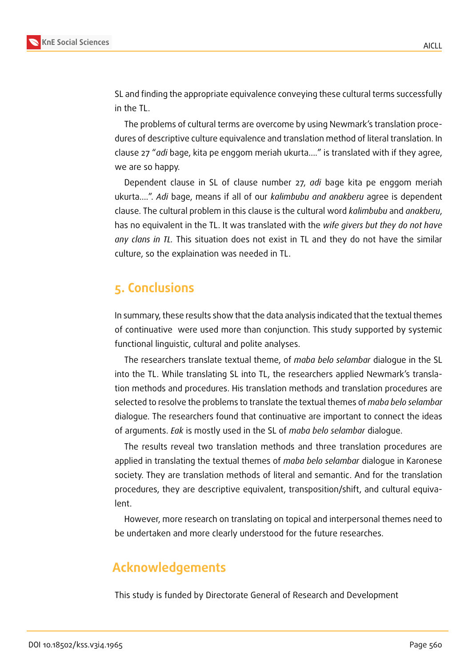

SL and finding the appropriate equivalence conveying these cultural terms successfully in the TL.

The problems of cultural terms are overcome by using Newmark's translation procedures of descriptive culture equivalence and translation method of literal translation. In clause 27 "*adi* bage, kita pe enggom meriah ukurta...." is translated with if they agree, we are so happy.

Dependent clause in SL of clause number 27, *adi* bage kita pe enggom meriah ukurta....". *Adi* bage, means if all of our *kalimbubu and anakberu* agree is dependent clause. The cultural problem in this clause is the cultural word *kalimbubu* and *anakberu*, has no equivalent in the TL. It was translated with the *wife givers but they do not have any clans in TL.* This situation does not exist in TL and they do not have the similar culture, so the explaination was needed in TL.

# **5. Conclusions**

In summary, these results show that the data analysis indicated that the textual themes of continuative were used more than conjunction. This study supported by systemic functional linguistic, cultural and polite analyses.

The researchers translate textual theme, of *maba belo selambar* dialogue in the SL into the TL. While translating SL into TL, the researchers applied Newmark's translation methods and procedures. His translation methods and translation procedures are selected to resolve the problems to translate the textual themes of *maba belo selambar* dialogue. The researchers found that continuative are important to connect the ideas of arguments. *Eak* is mostly used in the SL of *maba belo selambar* dialogue.

The results reveal two translation methods and three translation procedures are applied in translating the textual themes of *maba belo selambar* dialogue in Karonese society. They are translation methods of literal and semantic. And for the translation procedures, they are descriptive equivalent, transposition/shift, and cultural equivalent.

However, more research on translating on topical and interpersonal themes need to be undertaken and more clearly understood for the future researches.

# **Acknowledgements**

This study is funded by Directorate General of Research and Development